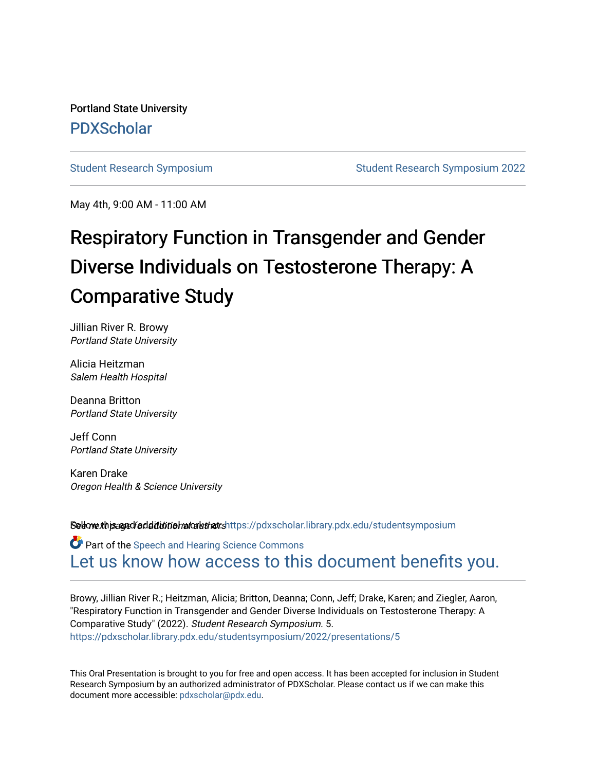Portland State University [PDXScholar](https://pdxscholar.library.pdx.edu/)

[Student Research Symposium](https://pdxscholar.library.pdx.edu/studentsymposium) [Student Research Symposium 2022](https://pdxscholar.library.pdx.edu/studentsymposium/2022) 

May 4th, 9:00 AM - 11:00 AM

## Respiratory Function in Transgender and Gender Diverse Individuals on Testosterone Therapy: A Comparative Study

Jillian River R. Browy Portland State University

Alicia Heitzman Salem Health Hospital

Deanna Britton Portland State University

Jeff Conn Portland State University

Karen Drake Oregon Health & Science University

Setow this and faddition buon that shttps://pdxscholar.library.pdx.edu/studentsymposium

Part of the [Speech and Hearing Science Commons](http://network.bepress.com/hgg/discipline/1033?utm_source=pdxscholar.library.pdx.edu%2Fstudentsymposium%2F2022%2Fpresentations%2F5&utm_medium=PDF&utm_campaign=PDFCoverPages) [Let us know how access to this document benefits you.](http://library.pdx.edu/services/pdxscholar-services/pdxscholar-feedback/) 

Browy, Jillian River R.; Heitzman, Alicia; Britton, Deanna; Conn, Jeff; Drake, Karen; and Ziegler, Aaron, "Respiratory Function in Transgender and Gender Diverse Individuals on Testosterone Therapy: A Comparative Study" (2022). Student Research Symposium. 5. [https://pdxscholar.library.pdx.edu/studentsymposium/2022/presentations/5](https://pdxscholar.library.pdx.edu/studentsymposium/2022/presentations/5?utm_source=pdxscholar.library.pdx.edu%2Fstudentsymposium%2F2022%2Fpresentations%2F5&utm_medium=PDF&utm_campaign=PDFCoverPages)

This Oral Presentation is brought to you for free and open access. It has been accepted for inclusion in Student Research Symposium by an authorized administrator of PDXScholar. Please contact us if we can make this document more accessible: [pdxscholar@pdx.edu.](mailto:pdxscholar@pdx.edu)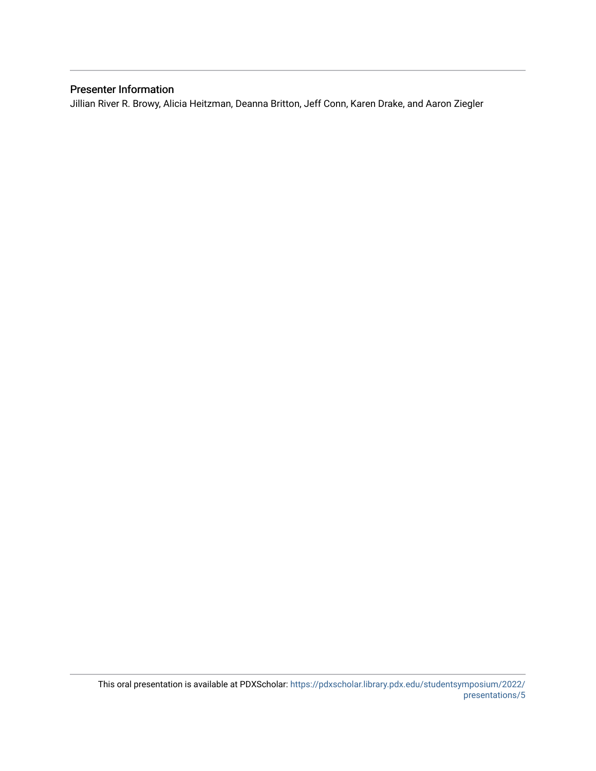### Presenter Information

Jillian River R. Browy, Alicia Heitzman, Deanna Britton, Jeff Conn, Karen Drake, and Aaron Ziegler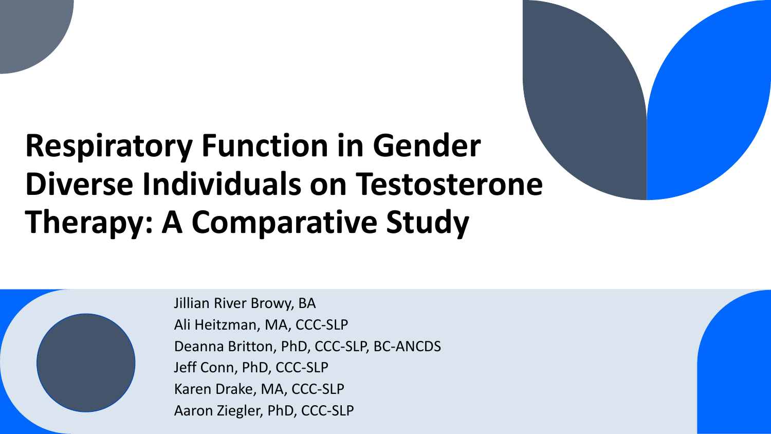# **Respiratory Function in Gender Diverse Individuals on Testosterone Therapy: A Comparative Study**



Jillian River Browy, BA Ali Heitzman, MA, CCC-SLP Deanna Britton, PhD, CCC-SLP, BC-ANCDS Jeff Conn, PhD, CCC-SLP Karen Drake, MA, CCC-SLP Aaron Ziegler, PhD, CCC-SLP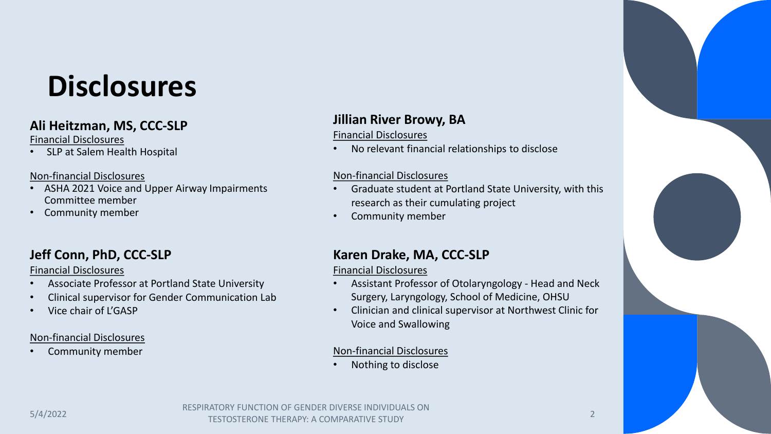# **Disclosures**

## **Ali Heitzman, MS, CCC-SLP**

### Financial Disclosures

SLP at Salem Health Hospital

## Non-financial Disclosures

- ASHA 2021 Voice and Upper Airway Impairments Committee member
- Community member

## **Jeff Conn, PhD, CCC-SLP**

## Financial Disclosures

- Associate Professor at Portland State University
- Clinical supervisor for Gender Communication Lab
- Vice chair of L'GASP

## Non-financial Disclosures

• Community member

## **Jillian River Browy, BA**

## Financial Disclosures

• No relevant financial relationships to disclose

## Non-financial Disclosures

- Graduate student at Portland State University, with this research as their cumulating project
- Community member

## **Karen Drake, MA, CCC-SLP**

## Financial Disclosures

- Assistant Professor of Otolaryngology Head and Neck Surgery, Laryngology, School of Medicine, OHSU
- Clinician and clinical supervisor at Northwest Clinic for Voice and Swallowing

## Non-financial Disclosures

• Nothing to disclose

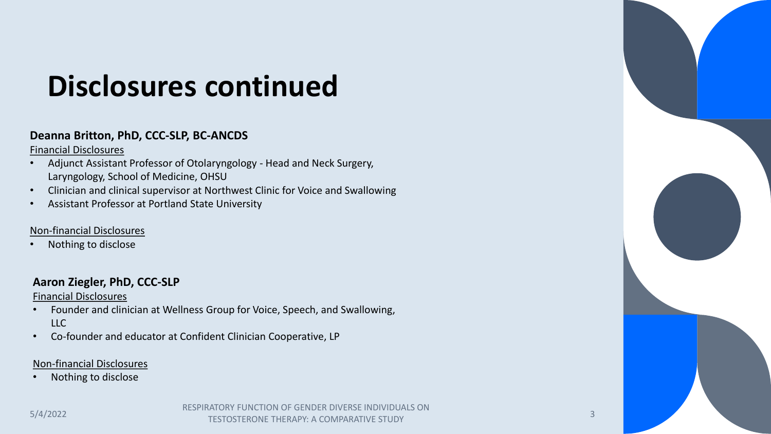# **Disclosures continued**

## **Deanna Britton, PhD, CCC-SLP, BC-ANCDS**

Financial Disclosures

- Adjunct Assistant Professor of Otolaryngology Head and Neck Surgery, Laryngology, School of Medicine, OHSU
- Clinician and clinical supervisor at Northwest Clinic for Voice and Swallowing
- Assistant Professor at Portland State University

## Non-financial Disclosures

• Nothing to disclose

## **Aaron Ziegler, PhD, CCC-SLP**

Financial Disclosures

- Founder and clinician at Wellness Group for Voice, Speech, and Swallowing,  $\overline{L}$
- Co-founder and educator at Confident Clinician Cooperative, LP

## Non-financial Disclosures

• Nothing to disclose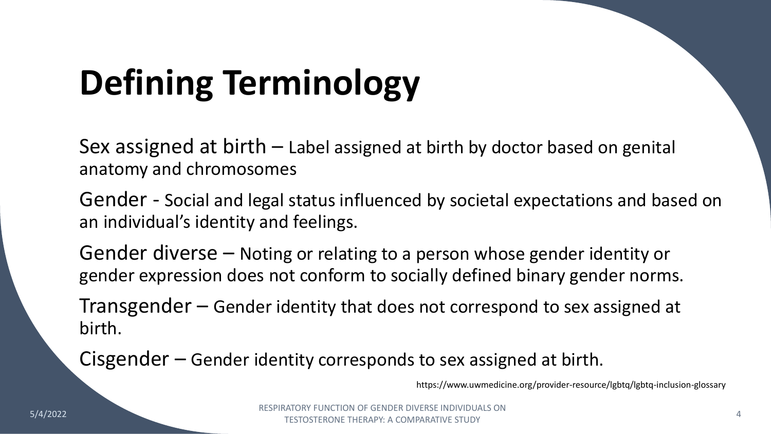# **Defining Terminology**

Sex assigned at birth – Label assigned at birth by doctor based on genital anatomy and chromosomes

Gender - Social and legal status influenced by societal expectations and based on an individual's identity and feelings.

Gender diverse – Noting or relating to a person whose gender identity or gender expression does not conform to socially defined binary gender norms.

Transgender – Gender identity that does not correspond to sex assigned at birth.

Cisgender – Gender identity corresponds to sex assigned at birth.

https://www.uwmedicine.org/provider-resource/lgbtq/lgbtq-inclusion-glossary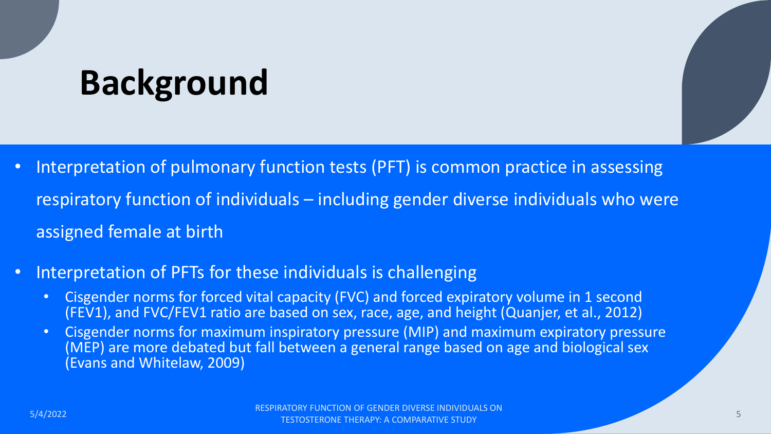# **Background**

- Interpretation of pulmonary function tests (PFT) is common practice in assessing respiratory function of individuals – including gender diverse individuals who were assigned female at birth
- Interpretation of PFTs for these individuals is challenging
	- Cisgender norms for forced vital capacity (FVC) and forced expiratory volume in 1 second (FEV1), and FVC/FEV1 ratio are based on sex, race, age, and height (Quanjer, et al., 2012)
	- Cisgender norms for maximum inspiratory pressure (MIP) and maximum expiratory pressure (MEP) are more debated but fall between a general range based on age and biological sex (Evans and Whitelaw, 2009)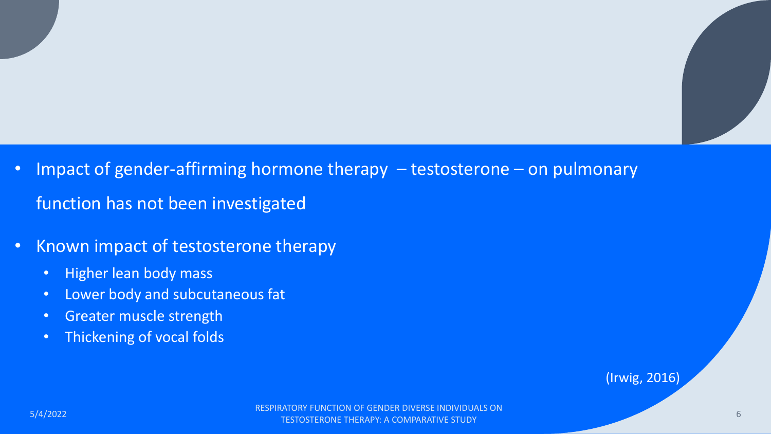- Impact of gender-affirming hormone therapy testosterone on pulmonary function has not been investigated
- Known impact of testosterone therapy
	- Higher lean body mass
	- Lower body and subcutaneous fat
	- Greater muscle strength
	- Thickening of vocal folds

(Irwig, 2016)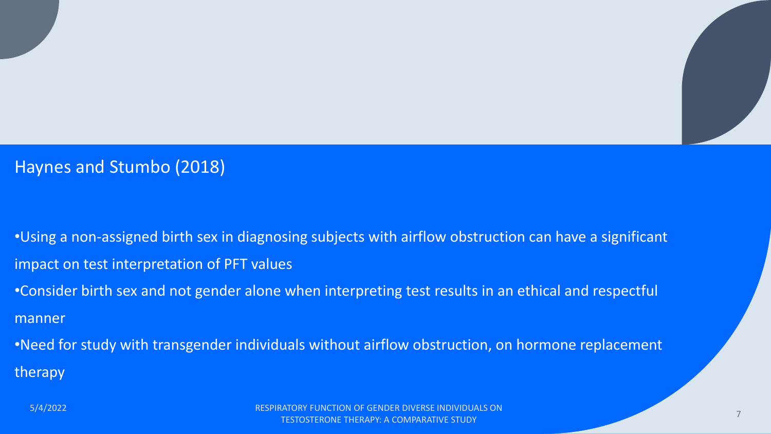## Haynes and Stumbo (2018)

•Using a non-assigned birth sex in diagnosing subjects with airflow obstruction can have a significant impact on test interpretation of PFT values

•Consider birth sex and not gender alone when interpreting test results in an ethical and respectful manner

•Need for study with transgender individuals without airflow obstruction, on hormone replacement therapy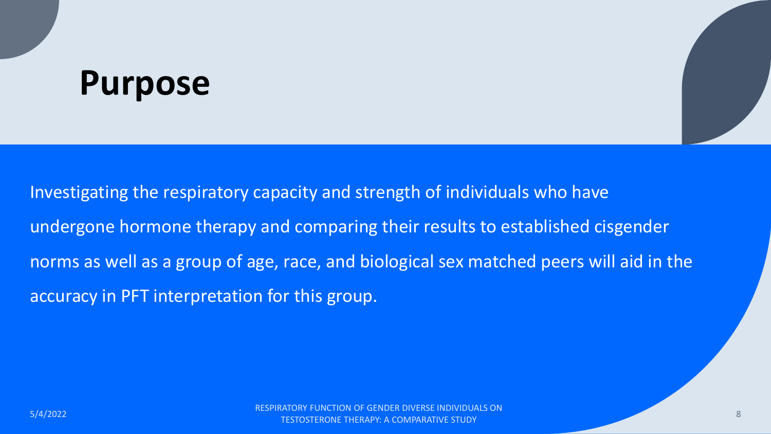# **Purpose**

Investigating the respiratory capacity and strength of individuals who have undergone hormone therapy and comparing their results to established cisgender norms as well as a group of age, race, and biological sex matched peers will aid in the accuracy in PFT interpretation for this group.

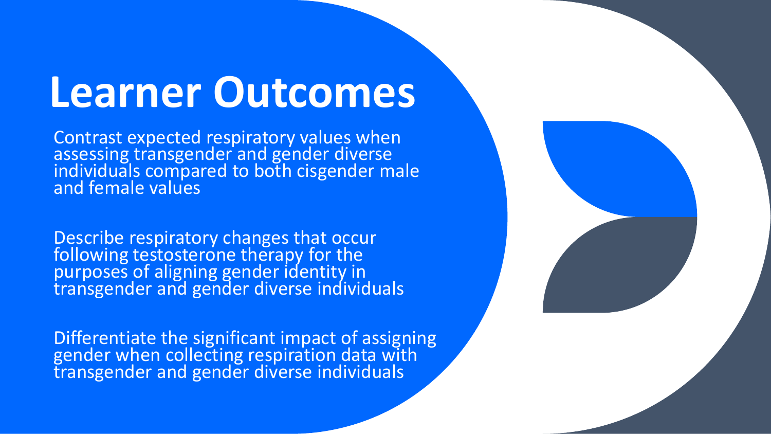# **Learner Outcomes**

Contrast expected respiratory values when assessing transgender and gender diverse individuals compared to both cisgender male and female values

Describe respiratory changes that occur following testosterone therapy for the purposes of aligning gender identity in transgender and gender diverse individuals

Differentiate the significant impact of assigning gender when collecting respiration data with transgender and gender diverse individuals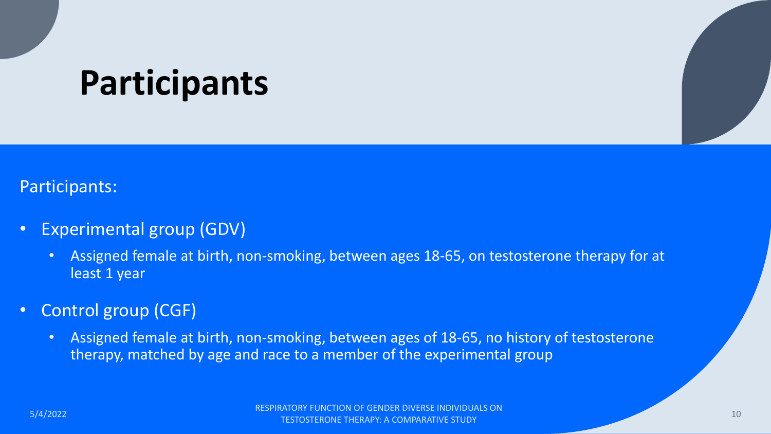# **Participants**

## Participants:

- Experimental group (GDV)
	- Assigned female at birth, non-smoking, between ages 18-65, on testosterone therapy for at least 1 year

## • Control group (CGF)

• Assigned female at birth, non-smoking, between ages of 18-65, no history of testosterone therapy, matched by age and race to a member of the experimental group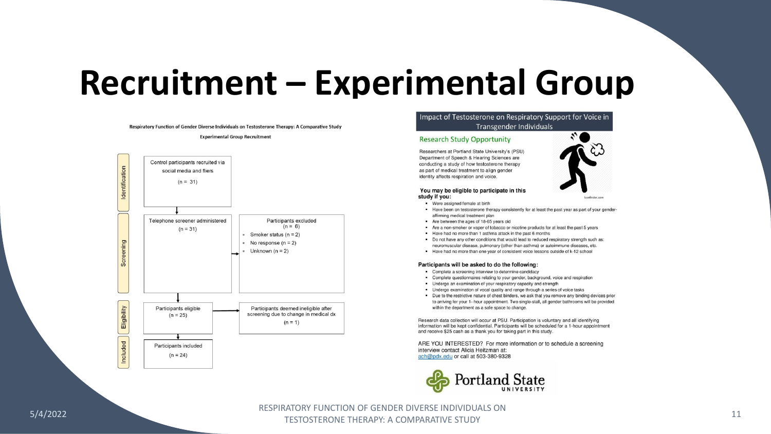# **Recruitment – Experimental Group**

Respiratory Function of Gender Diverse Individuals on Testosterone Therapy: A Comparative Study

#### **Experimental Group Recruitment**



### Impact of Testosterone on Respiratory Support for Voice in Transgender Individuals

### **Research Study Opportunity**

Researchers at Portland State University's (PSU) Department of Speech & Hearing Sciences are conducting a study of how testosterone therapy as part of medical treatment to align gender identity affects respiration and voice.

#### You may be eligible to participate in this study if you:

- Were assigned female at birth
- Have been on testosterone therapy consistently for at least the past year as part of your genderaffirming medical treatment plan

Iconfinder.com

- Are between the ages of 18-65 years old
- Are a non-smoker or vaper of tobacco or nicotine products for at least the past 5 years
- Have had no more than 1 asthma attack in the past 6 months
- Do not have any other conditions that would lead to reduced respiratory strength such as: neuromuscular disease, pulmonary (other than asthma) or autoimmune diseases, etc.
- Have had no more than one year of consistent voice lessons outside of k-12 school

### Participants will be asked to do the following:

- Complete a screening interview to determine candidacy
- Complete questionnaires relating to your gender, background, voice and respiration
- Undergo an examination of your respiratory capacity and strength
- Undergo examination of vocal quality and range through a series of voice tasks
- Due to the restrictive nature of chest binders, we ask that you remove any binding devices prior to arriving for your 1- hour appointment. Two single-stall, all gender bathrooms will be provided within the department as a safe space to change.

Research data collection will occur at PSU. Participation is voluntary and all identifying information will be kept confidential. Participants will be scheduled for a 1-hour appointment and receive \$25 cash as a thank you for taking part in this study.

ARE YOU INTERESTED? For more information or to schedule a screening interview contact Alicia Heitzman at: ach@pdx.edu or call at 503-380-9328

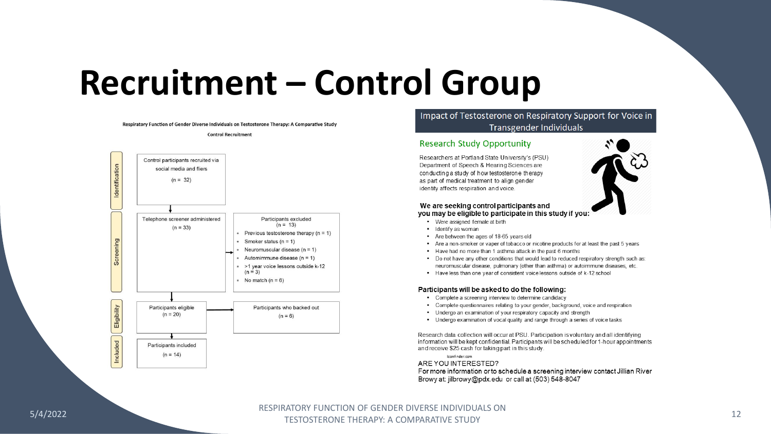# **Recruitment – Control Group**

Respiratory Function of Gender Diverse Individuals on Testosterone Therapy: A Comparative Study

#### **Control Recruitment**



### Impact of Testosterone on Respiratory Support for Voice in **Transgender Individuals**

### **Research Study Opportunity**

Researchers at Portland State University's (PSU) Department of Speech & Hearing Sciences are conducting a study of how testosterone therapy as part of medical treatment to align gender identity affects respiration and voice.



### We are seeking control participants and

you may be eligible to participate in this study if you:

- Were assigned female at birth
- Identify as woman
- Are between the ages of 18-65 years old
- Are a non-smoker or vaper of tobacco or nicotine products for at least the past 5 years
- . Have had no more than 1 asthma attack in the past 6 months
- Do not have any other conditions that would lead to reduced respiratory strength such as: neuromuscular disease, pulmonary (other than asthma) or autoimmune diseases, etc.
- Have less than one year of consistent voice lessons outside of k-12 school

### Participants will be asked to do the following:

- Complete a screening interview to determine candidacy
- Complete questionnaires relating to your gender, background, voice and respiration
- Undergo an examination of your respiratory capacity and strength
- Undergo examination of vocal quality and range through a series of voice tasks

Research data collection will occur at PSU. Participation is voluntary and all identifying information will be kept confidential. Participants will be scheduled for 1-hour appointments and receive \$25 cash for taking part in this study.

Iconfinder.com ARE YOU INTERESTED? For more information or to schedule a screening interview contact Jillian River Browy at: jilbrowy@pdx.edu or call at (503) 548-8047

### 5/4/2022 RESPIRATORY FUNCTION OF GENDER DIVERSE INDIVIDUALS ON TESTOSTERONE THERAPY: A COMPARATIVE STUDY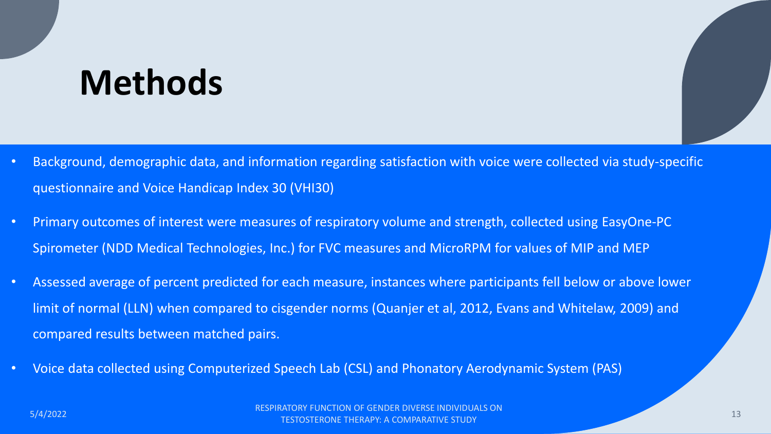# **Methods**

- Background, demographic data, and information regarding satisfaction with voice were collected via study-specific questionnaire and Voice Handicap Index 30 (VHI30)
- Primary outcomes of interest were measures of respiratory volume and strength, collected using EasyOne-PC Spirometer (NDD Medical Technologies, Inc.) for FVC measures and MicroRPM for values of MIP and MEP
- Assessed average of percent predicted for each measure, instances where participants fell below or above lower limit of normal (LLN) when compared to cisgender norms (Quanjer et al, 2012, Evans and Whitelaw, 2009) and compared results between matched pairs.
- Voice data collected using Computerized Speech Lab (CSL) and Phonatory Aerodynamic System (PAS)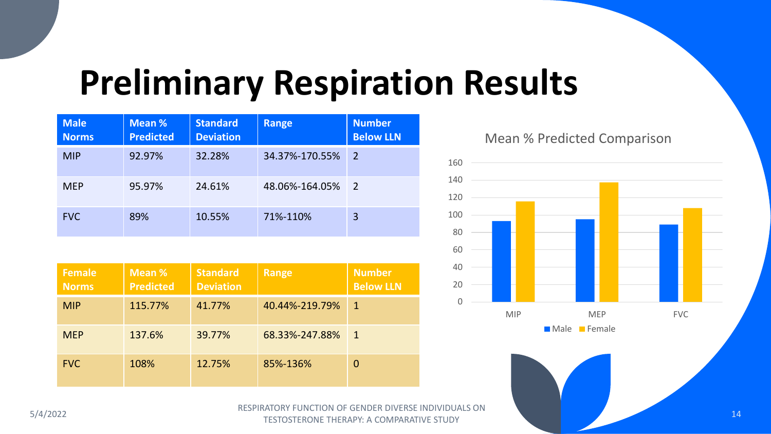# **Preliminary Respiration Results**

| <b>Male</b><br><b>Norms</b> | Mean %<br><b>Predicted</b> | <b>Standard</b><br><b>Deviation</b> | <b>Range</b>   | <b>Number</b><br><b>Below LLN</b> |
|-----------------------------|----------------------------|-------------------------------------|----------------|-----------------------------------|
| <b>MIP</b>                  | 92.97%                     | 32.28%                              | 34.37%-170.55% | $\overline{2}$                    |
| <b>MEP</b>                  | 95.97%                     | 24.61%                              | 48.06%-164.05% | 2                                 |
| <b>FVC</b>                  | 89%                        | 10.55%                              | 71%-110%       | 3                                 |

| <b>Female</b><br><b>Norms</b> | Mean %<br><b>Predicted</b> | <b>Standard</b><br><b>Deviation</b> | <b>Range</b>   | <b>Number</b><br><b>Below LLN</b> |
|-------------------------------|----------------------------|-------------------------------------|----------------|-----------------------------------|
| <b>MIP</b>                    | 115.77%                    | 41.77%                              | 40.44%-219.79% | $\mathbf{1}$                      |
| <b>MEP</b>                    | 137.6%                     | 39.77%                              | 68.33%-247.88% | $\mathbf 1$                       |
| <b>FVC</b>                    | 108%                       | 12.75%                              | 85%-136%       |                                   |

## Mean % Predicted Comparison





ESPIRATORY FUNCTION OF GENDER DIVERSE INDIVIDUALS ON THE SALE OF A SOLUTION OF GENDER DIVERSE INDIVIDUALS ON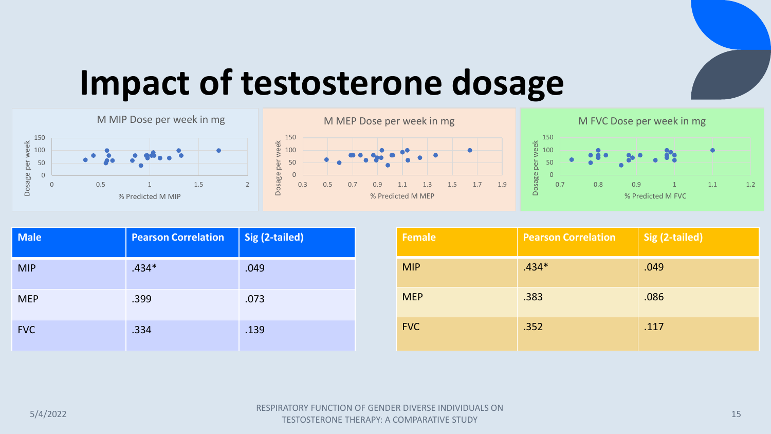# **Impact of testosterone dosage**







| <b>Male</b> | <b>Pearson Correlation</b> | Sig (2-tailed) |
|-------------|----------------------------|----------------|
| <b>MIP</b>  | $.434*$                    | .049           |
| <b>MEP</b>  | .399                       | .073           |
| <b>FVC</b>  | .334                       | .139           |

| <b>Female</b> | <b>Pearson Correlation</b> | Sig (2-tailed) |
|---------------|----------------------------|----------------|
| <b>MIP</b>    | $.434*$                    | .049           |
| <b>MEP</b>    | .383                       | .086           |
| <b>FVC</b>    | .352                       | .117           |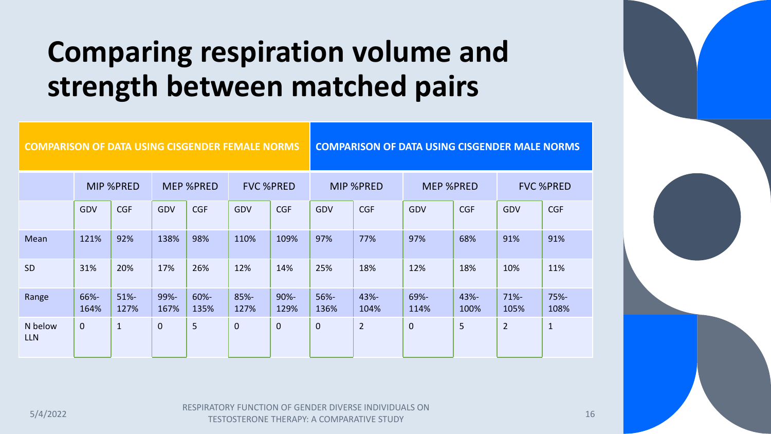# **Comparing respiration volume and strength between matched pairs**

| <b>COMPARISON OF DATA USING CISGENDER FEMALE NORMS</b> |                  |                 |                  |                 |                  |                 | <b>COMPARISON OF DATA USING CISGENDER MALE NORMS</b> |                |                  |              |                  |              |
|--------------------------------------------------------|------------------|-----------------|------------------|-----------------|------------------|-----------------|------------------------------------------------------|----------------|------------------|--------------|------------------|--------------|
|                                                        | <b>MIP %PRED</b> |                 | <b>MEP %PRED</b> |                 | <b>FVC %PRED</b> |                 | <b>MIP %PRED</b>                                     |                | <b>MEP %PRED</b> |              | <b>FVC %PRED</b> |              |
|                                                        | GDV              | <b>CGF</b>      | GDV              | <b>CGF</b>      | GDV              | <b>CGF</b>      | GDV                                                  | <b>CGF</b>     | GDV              | <b>CGF</b>   | GDV              | <b>CGF</b>   |
| Mean                                                   | 121%             | 92%             | 138%             | 98%             | 110%             | 109%            | 97%                                                  | 77%            | 97%              | 68%          | 91%              | 91%          |
| <b>SD</b>                                              | 31%              | 20%             | 17%              | 26%             | 12%              | 14%             | 25%                                                  | 18%            | 12%              | 18%          | 10%              | 11%          |
| Range                                                  | 66%-<br>164%     | $51% -$<br>127% | 99%-<br>167%     | $60% -$<br>135% | 85%-<br>127%     | $90% -$<br>129% | 56%-<br>136%                                         | 43%-<br>104%   | 69%-<br>114%     | 43%-<br>100% | $71% -$<br>105%  | 75%-<br>108% |
| N below<br><b>LLN</b>                                  | $\mathbf{0}$     | $\mathbf{1}$    | $\mathbf 0$      | 5               | $\mathbf 0$      | $\overline{0}$  | $\mathbf{0}$                                         | $\overline{2}$ | $\mathbf 0$      | 5            | $\overline{2}$   | $\mathbf{1}$ |

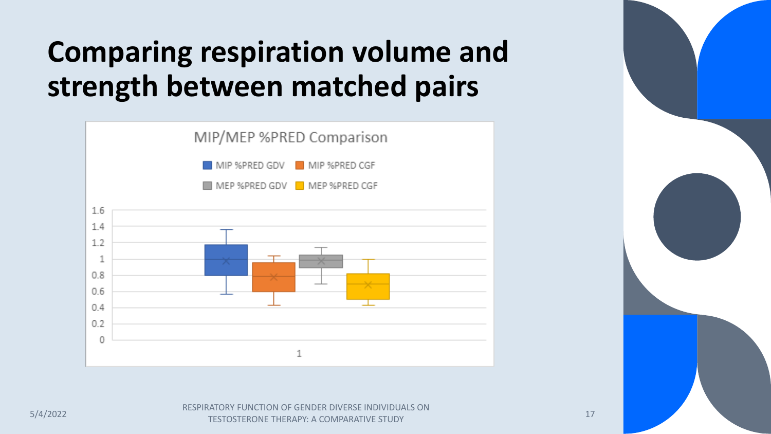# **Comparing respiration volume and strength between matched pairs**





ESPIRATORY FUNCTION OF GENDER DIVERSE INDIVIDUALS ON THE SELL BY A GOLDEN AT LEXING STUDY. TESTOSTERONE THERAPY: A COMPARATIVE STUDY 17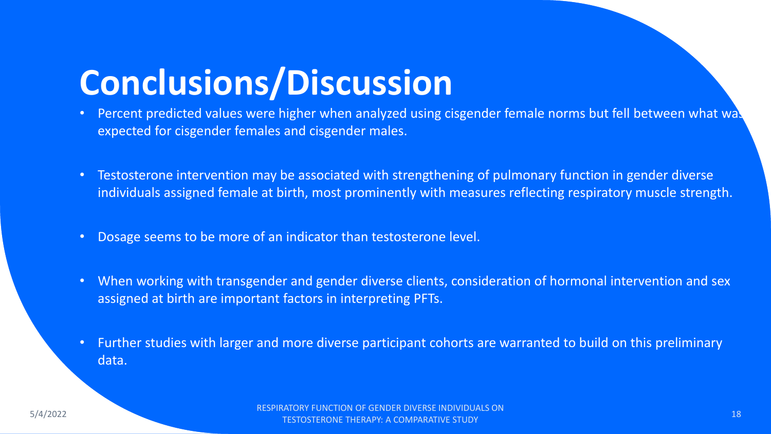# **Conclusions/Discussion**

- Percent predicted values were higher when analyzed using cisgender female norms but fell between what was expected for cisgender females and cisgender males.
- Testosterone intervention may be associated with strengthening of pulmonary function in gender diverse individuals assigned female at birth, most prominently with measures reflecting respiratory muscle strength.
- Dosage seems to be more of an indicator than testosterone level.
- When working with transgender and gender diverse clients, consideration of hormonal intervention and sex assigned at birth are important factors in interpreting PFTs.
- Further studies with larger and more diverse participant cohorts are warranted to build on this preliminary data.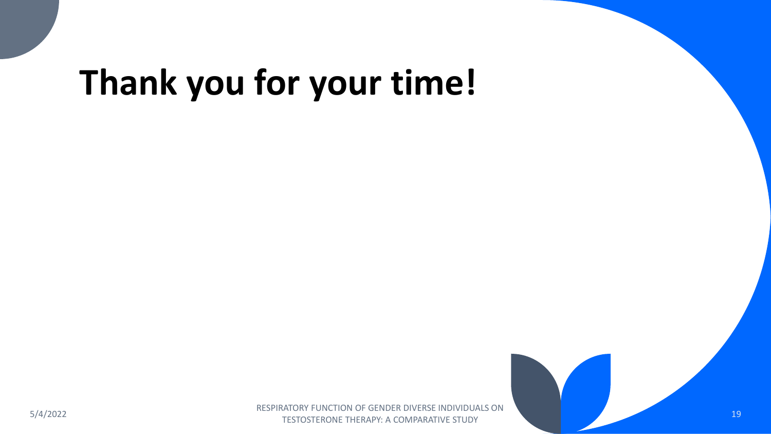# **Thank you for your time!**

5/4/2022<br>5/4/2022 RESPIRATORY FUNCTION OF GENDER DIVERSE INDIVIDUALS ON TESTOSTERONE THERAPY: A COMPARATIVE STUDY